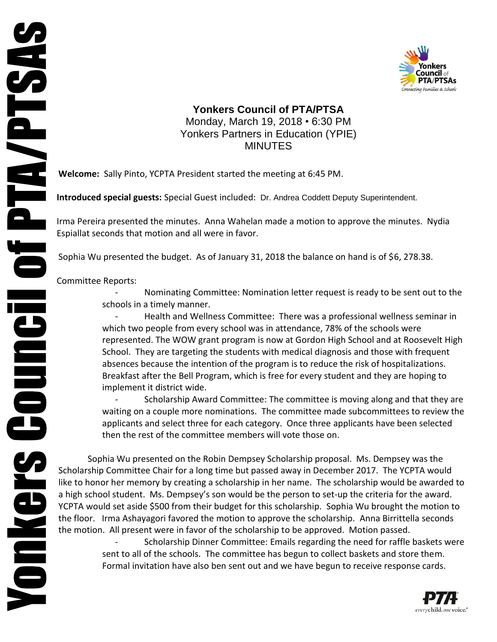

## **Yonkers Council of PTA/PTSA** Monday, March 19, 2018 • 6:30 PM Yonkers Partners in Education (YPIE) MINUTES

**Welcome:** Sally Pinto, YCPTA President started the meeting at 6:45 PM.

**Introduced special guests:** Special Guest included: Dr. Andrea Coddett Deputy Superintendent.

Irma Pereira presented the minutes. Anna Wahelan made a motion to approve the minutes. Nydia Espiallat seconds that motion and all were in favor.

Sophia Wu presented the budget. As of January 31, 2018 the balance on hand is of \$6, 278.38.

Committee Reports:

Nominating Committee: Nomination letter request is ready to be sent out to the schools in a timely manner.

Health and Wellness Committee: There was a professional wellness seminar in which two people from every school was in attendance, 78% of the schools were represented. The WOW grant program is now at Gordon High School and at Roosevelt High School. They are targeting the students with medical diagnosis and those with frequent absences because the intention of the program is to reduce the risk of hospitalizations. Breakfast after the Bell Program, which is free for every student and they are hoping to implement it district wide.

- Scholarship Award Committee: The committee is moving along and that they are waiting on a couple more nominations. The committee made subcommittees to review the applicants and select three for each category. Once three applicants have been selected then the rest of the committee members will vote those on.

Sophia Wu presented on the Robin Dempsey Scholarship proposal. Ms. Dempsey was the Scholarship Committee Chair for a long time but passed away in December 2017. The YCPTA would like to honor her memory by creating a scholarship in her name. The scholarship would be awarded to a high school student. Ms. Dempsey's son would be the person to set-up the criteria for the award. YCPTA would set aside \$500 from their budget for this scholarship. Sophia Wu brought the motion to the floor. Irma Ashayagori favored the motion to approve the scholarship. Anna Birrittella seconds the motion. All present were in favor of the scholarship to be approved. Motion passed.

> - Scholarship Dinner Committee: Emails regarding the need for raffle baskets were sent to all of the schools. The committee has begun to collect baskets and store them. Formal invitation have also ben sent out and we have begun to receive response cards.